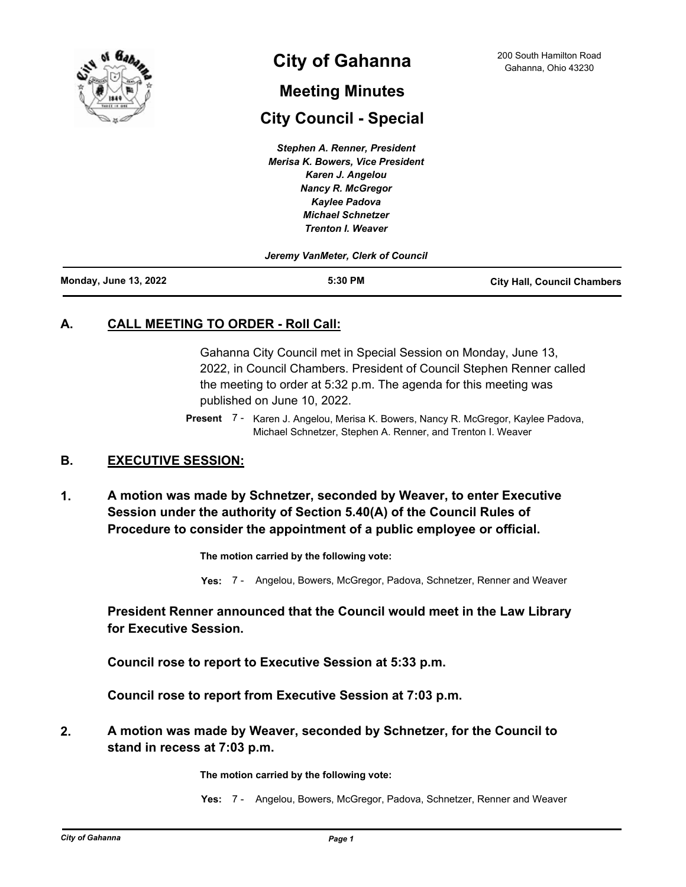

# **City of Gahanna** 200 South Hamilton Road Cahanna, Ohio 43230

## **Meeting Minutes**

# **City Council - Special**

*Stephen A. Renner, President Merisa K. Bowers, Vice President Karen J. Angelou Nancy R. McGregor Kaylee Padova Michael Schnetzer Trenton I. Weaver*

*Jeremy VanMeter, Clerk of Council*

| <b>Monday, June 13, 2022</b> | 5:30 PM | <b>City Hall, Council Chambers</b> |
|------------------------------|---------|------------------------------------|
|                              |         |                                    |

## **A. CALL MEETING TO ORDER - Roll Call:**

Gahanna City Council met in Special Session on Monday, June 13, 2022, in Council Chambers. President of Council Stephen Renner called the meeting to order at 5:32 p.m. The agenda for this meeting was published on June 10, 2022.

Present 7 - Karen J. Angelou, Merisa K. Bowers, Nancy R. McGregor, Kaylee Padova, Michael Schnetzer, Stephen A. Renner, and Trenton I. Weaver

#### **B. EXECUTIVE SESSION:**

**A motion was made by Schnetzer, seconded by Weaver, to enter Executive Session under the authority of Section 5.40(A) of the Council Rules of Procedure to consider the appointment of a public employee or official. 1.**

**The motion carried by the following vote:**

**Yes:** 7 - Angelou, Bowers, McGregor, Padova, Schnetzer, Renner and Weaver

### **President Renner announced that the Council would meet in the Law Library for Executive Session.**

**Council rose to report to Executive Session at 5:33 p.m.**

**Council rose to report from Executive Session at 7:03 p.m.**

**A motion was made by Weaver, seconded by Schnetzer, for the Council to stand in recess at 7:03 p.m. 2.**

**The motion carried by the following vote:**

**Yes:** 7 - Angelou, Bowers, McGregor, Padova, Schnetzer, Renner and Weaver